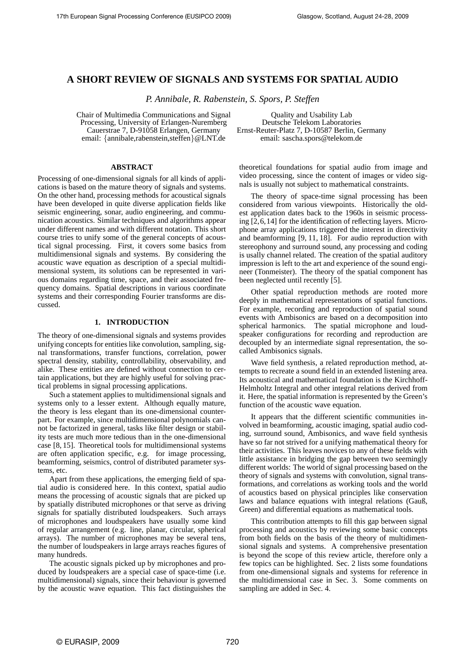# **A SHORT REVIEW OF SIGNALS AND SYSTEMS FOR SPATIAL AUDIO**

*P. Annibale, R. Rabenstein, S. Spors, P. Steffen*

Chair of Multimedia Communications and Signal Processing, University of Erlangen-Nuremberg Cauerstrae 7, D-91058 Erlangen, Germany email: {annibale,rabenstein,steffen}@LNT.de

Quality and Usability Lab Deutsche Telekom Laboratories Ernst-Reuter-Platz 7, D-10587 Berlin, Germany email: sascha.spors@telekom.de

## **ABSTRACT**

Processing of one-dimensional signals for all kinds of applications is based on the mature theory of signals and systems. On the other hand, processing methods for acoustical signals have been developed in quite diverse application fields like seismic engineering, sonar, audio engineering, and communication acoustics. Similar techniques and algorithms appear under different names and with different notation. This short course tries to unify some of the general concepts of acoustical signal processing. First, it covers some basics from multidimensional signals and systems. By considering the acoustic wave equation as description of a special multidimensional system, its solutions can be represented in various domains regarding time, space, and their associated frequency domains. Spatial descriptions in various coordinate systems and their corresponding Fourier transforms are discussed.

#### **1. INTRODUCTION**

The theory of one-dimensional signals and systems provides unifying concepts for entities like convolution, sampling, signal transformations, transfer functions, correlation, power spectral density, stability, controllability, observability, and alike. These entities are defined without connection to certain applications, but they are highly useful for solving practical problems in signal processing applications.

Such a statement applies to multidimensional signals and systems only to a lesser extent. Although equally mature, the theory is less elegant than its one-dimensional counterpart. For example, since multidimensional polynomials cannot be factorized in general, tasks like filter design or stability tests are much more tedious than in the one-dimensional case [8, 15]. Theoretical tools for multidimensional systems are often application specific, e.g. for image processing, beamforming, seismics, control of distributed parameter systems, etc.

Apart from these applications, the emerging field of spatial audio is considered here. In this context, spatial audio means the processing of acoustic signals that are picked up by spatially distributed microphones or that serve as driving signals for spatially distributed loudspeakers. Such arrays of microphones and loudspeakers have usually some kind of regular arrangement (e.g. line, planar, circular, spherical arrays). The number of microphones may be several tens, the number of loudspeakers in large arrays reaches figures of many hundreds.

The acoustic signals picked up by microphones and produced by loudspeakers are a special case of space-time (i.e. multidimensional) signals, since their behaviour is governed by the acoustic wave equation. This fact distinguishes the theoretical foundations for spatial audio from image and video processing, since the content of images or video signals is usually not subject to mathematical constraints.

The theory of space-time signal processing has been considered from various viewpoints. Historically the oldest application dates back to the 1960s in seismic processing [2,6,14] for the identification of reflecting layers. Microphone array applications triggered the interest in directivity and beamforming [9, 11, 18]. For audio reproduction with stereophony and surround sound, any processing and coding is usally channel related. The creation of the spatial auditory impression is left to the art and experience of the sound engineer (Tonmeister). The theory of the spatial component has been neglected until recently [5].

Other spatial reproduction methods are rooted more deeply in mathematical representations of spatial functions. For example, recording and reproduction of spatial sound events with Ambisonics are based on a decomposition into spherical harmonics. The spatial microphone and loudspeaker configurations for recording and reproduction are decoupled by an intermediate signal representation, the socalled Ambisonics signals.

Wave field synthesis, a related reproduction method, attempts to recreate a sound field in an extended listening area. Its acoustical and mathematical foundation is the Kirchhoff-Helmholtz Integral and other integral relations derived from it. Here, the spatial information is represented by the Green's function of the acoustic wave equation.

It appears that the different scientific communities involved in beamforming, acoustic imaging, spatial audio coding, surround sound, Ambisonics, and wave field synthesis have so far not strived for a unifying mathematical theory for their activities. This leaves novices to any of these fields with little assistance in bridging the gap between two seemingly different worlds: The world of signal processing based on the theory of signals and systems with convolution, signal transformations, and correlations as working tools and the world of acoustics based on physical principles like conservation laws and balance equations with integral relations (Gauß, Green) and differential equations as mathematical tools.

This contribution attempts to fill this gap between signal processing and acoustics by reviewing some basic concepts from both fields on the basis of the theory of multidimensional signals and systems. A comprehensive presentation is beyond the scope of this review article, therefore only a few topics can be highlighted. Sec. 2 lists some foundations from one-dimensional signals and systems for reference in the multidimensional case in Sec. 3. Some comments on sampling are added in Sec. 4.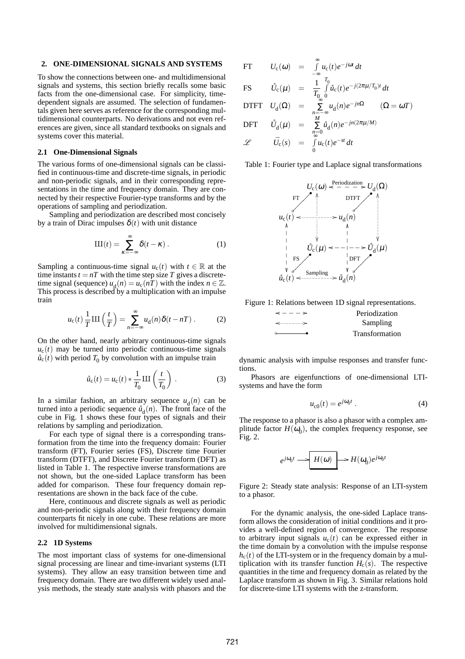## **2. ONE-DIMENSIONAL SIGNALS AND SYSTEMS**

To show the connections between one- and multidimensional signals and systems, this section briefly recalls some basic facts from the one-dimensional case. For simplicity, timedependent signals are assumed. The selection of fundamentals given here serves as reference for the corresponding multidimensional counterparts. No derivations and not even references are given, since all standard textbooks on signals and systems cover this material.

## **2.1 One-Dimensional Signals**

The various forms of one-dimensional signals can be classified in continuous-time and discrete-time signals, in periodic and non-periodic signals, and in their corresponding representations in the time and frequency domain. They are connected by their respective Fourier-type transforms and by the operations of sampling and periodization.

Sampling and periodization are described most concisely by a train of Dirac impulses  $\delta(t)$  with unit distance

$$
III(t) = \sum_{\kappa = -\infty}^{\infty} \delta(t - \kappa) . \tag{1}
$$

Sampling a continuous-time signal  $u_c(t)$  with  $t \in \mathbb{R}$  at the time instants  $t = nT$  with the time step size T gives a discretetime signal (sequence)  $u_d(n) = u_c(nT)$  with the index  $n \in \mathbb{Z}$ . This process is described by a multiplication with an impulse train

$$
u_{\rm c}(t)\frac{1}{T}\mathrm{III}\left(\frac{t}{T}\right) = \sum_{n=-\infty}^{\infty} u_{\rm d}(n)\delta(t - nT) \ . \tag{2}
$$

On the other hand, nearly arbitrary continuous-time signals  $u_c(t)$  may be turned into periodic continuous-time signals  $\hat{u}_{\rm c}(t)$  with period  $T_0$  by convolution with an impulse train

$$
\mathring{u}_{c}(t) = u_{c}(t) * \frac{1}{T_{0}} III\left(\frac{t}{T_{0}}\right).
$$
 (3)

In a similar fashion, an arbitrary sequence  $u_d(n)$  can be turned into a periodic sequence  $\mathring{u}_d(n)$ . The front face of the cube in Fig. 1 shows these four types of signals and their relations by sampling and periodization.

For each type of signal there is a corresponding transformation from the time into the frequency domain: Fourier transform (FT), Fourier series (FS), Discrete time Fourier transform (DTFT), and Discrete Fourier transform (DFT) as listed in Table 1. The respective inverse transformations are not shown, but the one-sided Laplace transform has been added for comparison. These four frequency domain representations are shown in the back face of the cube.

Here, continuous and discrete signals as well as periodic and non-periodic signals along with their frequency domain counterparts fit nicely in one cube. These relations are more involved for multidimensional signals.

### **2.2 1D Systems**

The most important class of systems for one-dimensional signal processing are linear and time-invariant systems (LTI systems). They allow an easy transition between time and frequency domain. There are two different widely used analysis methods, the steady state analysis with phasors and the

FT 
$$
U_c(\omega) = \int_{-\infty}^{\infty} u_c(t)e^{-j\omega t} dt
$$
  
\nFS  $\hat{U}_c(\mu) = \frac{1}{T_0} \int_{0}^{T_0} \hat{u}_c(t)e^{-j(2\pi\mu/T_0)t} dt$   
\nDTFT  $U_d(\Omega) = \sum_{n=-\infty}^{\infty} u_d(n)e^{-jn\Omega} \qquad (\Omega = \omega T)$   
\nDFT  $\hat{U}_d(\mu) = \sum_{\substack{n=-\infty \ n=0}}^{\infty} \hat{u}_d(n)e^{-jn(2\pi\mu/M)}$   
\n $\mathcal{L}$   $\bar{U}_c(s) = \int_{0}^{\infty} u_c(t)e^{-st} dt$ 

Table 1: Fourier type and Laplace signal transformations







dynamic analysis with impulse responses and transfer functions.

Phasors are eigenfunctions of one-dimensional LTIsystems and have the form

$$
u_{c0}(t) = e^{j\omega_0 t} \,. \tag{4}
$$

The response to a phasor is also a phasor with a complex amplitude factor  $H(\omega_0)$ , the complex frequency response, see Fig. 2.

$$
e^{j\omega_0 t}\longrightarrow \boxed{H(\omega)}\longrightarrow H(\omega_0)e^{j\omega_0 t}
$$

Figure 2: Steady state analysis: Response of an LTI-system to a phasor.

For the dynamic analysis, the one-sided Laplace transform allows the consideration of initial conditions and it provides a well-defined region of convergence. The response to arbitrary input signals  $u_c(t)$  can be expressed either in the time domain by a convolution with the impulse response  $h_c(t)$  of the LTI-system or in the frequency domain by a multiplication with its transfer function  $H_c(s)$ . The respective quantities in the time and frequency domain as related by the Laplace transform as shown in Fig. 3. Similar relations hold for discrete-time LTI systems with the z-transform.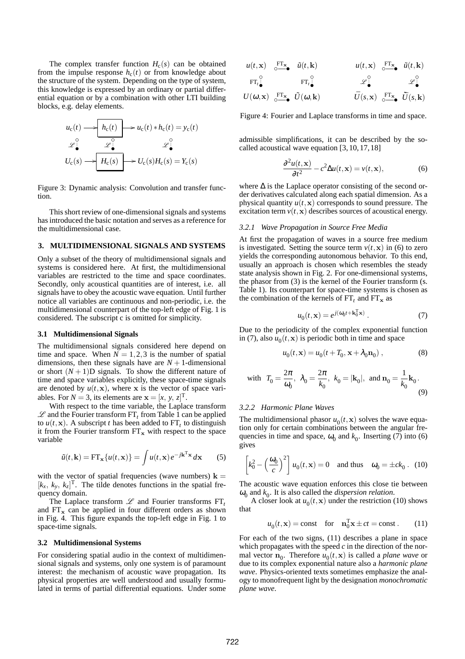The complex transfer function  $H_c(s)$  can be obtained from the impulse response  $h_c(t)$  or from knowledge about the structure of the system. Depending on the type of system, this knowledge is expressed by an ordinary or partial differential equation or by a combination with other LTI building blocks, e.g. delay elements.

$$
u_{c}(t) \longrightarrow h_{c}(t) \longrightarrow u_{c}(t) * h_{c}(t) = y_{c}(t)
$$
  

$$
\mathcal{L}_{\bullet}^{\circ} \longrightarrow \mathcal{L}_{\bullet}^{\circ} \mathcal{L}_{\bullet}^{\circ} \longrightarrow \mathcal{L}_{c}(s) + U_{c}(s)H_{c}(s) = Y_{c}(s)
$$

Figure 3: Dynamic analysis: Convolution and transfer function.

This short review of one-dimensional signals and systems has introduced the basic notation and serves as a reference for the multidimensional case.

## **3. MULTIDIMENSIONAL SIGNALS AND SYSTEMS**

Only a subset of the theory of multidimensional signals and systems is considered here. At first, the multidimensional variables are restricted to the time and space coordinates. Secondly, only acoustical quantities are of interest, i.e. all signals have to obey the acoustic wave equation. Until further notice all variables are continuous and non-periodic, i.e. the multidimensional counterpart of the top-left edge of Fig. 1 is considered. The subscript c is omitted for simplicity.

#### **3.1 Multidimensional Signals**

The multidimensional signals considered here depend on time and space. When  $N = 1, 2, 3$  is the number of spatial dimensions, then these signals have are  $N + 1$ -dimensional or short  $(N + 1)$ D signals. To show the different nature of time and space variables explicitly, these space-time signals are denoted by  $u(t, x)$ , where x is the vector of space variables. For  $N = 3$ , its elements are  $\mathbf{x} = [x, y, z]^T$ .

With respect to the time variable, the Laplace transform  $\mathscr L$  and the Fourier transform FT<sub>t</sub> from Table 1 can be applied to  $u(t, \mathbf{x})$ . A subscript *t* has been added to FT<sub>t</sub> to distinguish it from the Fourier transform  $FT_x$  with respect to the space variable

$$
\tilde{u}(t, \mathbf{k}) = \mathbf{FT}_{\mathbf{x}}\{u(t, \mathbf{x})\} = \int u(t, \mathbf{x}) e^{-j\mathbf{k}^{\mathrm{T}}\mathbf{x}} d\mathbf{x}
$$
 (5)

with the vector of spatial frequencies (wave numbers)  $k =$  $[k_x, k_y, k_z]^T$ . The tilde denotes functions in the spatial frequency domain.

The Laplace transform  $\mathscr L$  and Fourier transforms  $FT_t$ and  $FT_x$  can be applied in four different orders as shown in Fig. 4. This figure expands the top-left edge in Fig. 1 to space-time signals.

### **3.2 Multidimensional Systems**

For considering spatial audio in the context of multidimensional signals and systems, only one system is of paramount interest: the mechanism of acoustic wave propagation. Its physical properties are well understood and usually formulated in terms of partial differential equations. Under some

$$
u(t, \mathbf{x}) \xrightarrow{\mathbf{FT}_{\mathbf{x}}}_{0} \tilde{u}(t, \mathbf{k}) \qquad u(t, \mathbf{x}) \xrightarrow{\mathbf{FT}_{\mathbf{x}}}_{0} \tilde{u}(t, \mathbf{k})
$$
  
\n
$$
\mathbf{FT}_{t \bullet}^{\circ} \qquad \mathbf{FT}_{t \bullet}^{\circ} \qquad \mathscr{L}^{\circ}_{\bullet} \qquad \mathscr{L}^{\circ}_{\bullet} \qquad \mathscr{L}^{\circ}_{\bullet}
$$
  
\n
$$
U(\omega, \mathbf{x}) \xrightarrow{\mathbf{FT}_{\mathbf{x}}}_{0} \tilde{U}(\omega, \mathbf{k}) \qquad \qquad \bar{U}(s, \mathbf{x}) \xrightarrow{\mathbf{FT}_{\mathbf{x}}}_{0} \tilde{U}(s, \mathbf{k})
$$

Figure 4: Fourier and Laplace transforms in time and space.

admissible simplifications, it can be described by the socalled acoustical wave equation [3, 10, 17, 18]

$$
\frac{\partial^2 u(t, \mathbf{x})}{\partial t^2} - c^2 \Delta u(t, \mathbf{x}) = v(t, \mathbf{x}),\tag{6}
$$

where  $\Delta$  is the Laplace operator consisting of the second order derivatives calculated along each spatial dimension. As a physical quantity  $u(t, x)$  corresponds to sound pressure. The excitation term  $v(t, x)$  describes sources of acoustical energy.

#### *3.2.1 Wave Propagation in Source Free Media*

At first the propagation of waves in a source free medium is investigated. Setting the source term  $v(t, x)$  in (6) to zero yields the corresponding autonomous behavior. To this end, usually an approach is chosen which resembles the steady state analysis shown in Fig. 2. For one-dimensional systems, the phasor from (3) is the kernel of the Fourier transform (s. Table 1). Its counterpart for space-time systems is chosen as the combination of the kernels of  $FT<sub>t</sub>$  and  $FT<sub>x</sub>$  as

$$
u_0(t, \mathbf{x}) = e^{j(\omega_0 t + \mathbf{k}_0^T \mathbf{x})}.
$$
 (7)

Due to the periodicity of the complex exponential function in (7), also  $u_0(t, \mathbf{x})$  is periodic both in time and space

$$
u_0(t, \mathbf{x}) = u_0(t + T_0, \mathbf{x} + \lambda_0 \mathbf{n}_0), \qquad (8)
$$

with 
$$
T_0 = \frac{2\pi}{\omega_0}
$$
,  $\lambda_0 = \frac{2\pi}{k_0}$ ,  $k_0 = |\mathbf{k}_0|$ , and  $\mathbf{n}_0 = \frac{1}{k_0} \mathbf{k}_0$ . (9)

#### *3.2.2 Harmonic Plane Waves*

The multidimensional phasor  $u_0(t, \mathbf{x})$  solves the wave equation only for certain combinations between the angular frequencies in time and space,  $\omega_0$  and  $k_0$ . Inserting (7) into (6) gives

$$
\[k_0^2 - \left(\frac{\omega_0}{c}\right)^2\] u_0(t, \mathbf{x}) = 0 \quad \text{and thus} \quad \omega_0 = \pm ck_0. \tag{10}
$$

The acoustic wave equation enforces this close tie between  $\omega_0$  and  $k_0$ . It is also called the *dispersion relation*.

A closer look at  $u_0(t, \mathbf{x})$  under the restriction (10) shows that

$$
u_0(t, \mathbf{x}) = \text{const} \quad \text{for} \quad \mathbf{n}_0^T \mathbf{x} \pm ct = \text{const}. \quad (11)
$$

For each of the two signs, (11) describes a plane in space which propagates with the speed *c* in the direction of the normal vector  $\mathbf{n}_0$ . Therefore  $u_0(t, \mathbf{x})$  is called a *plane wave* or due to its complex exponential nature also a *harmonic plane wave*. Physics-oriented texts sometimes emphasize the analogy to monofrequent light by the designation *monochromatic plane wave*.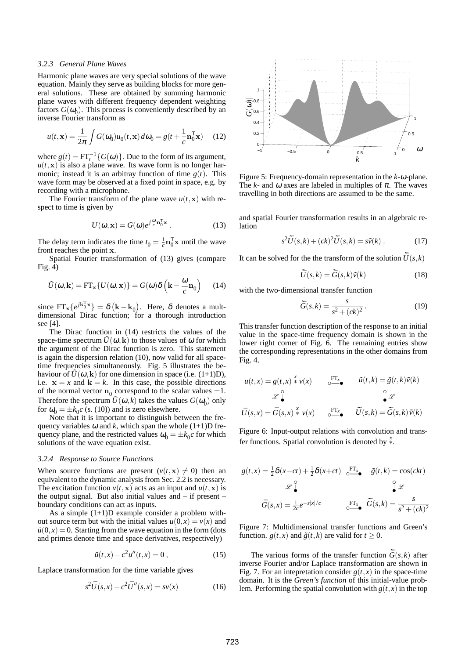## *3.2.3 General Plane Waves*

Harmonic plane waves are very special solutions of the wave equation. Mainly they serve as building blocks for more general solutions. These are obtained by summing harmonic plane waves with different frequency dependent weighting factors  $G(\omega_0)$ . This process is conveniently described by an inverse Fourier transform as

$$
u(t, \mathbf{x}) = \frac{1}{2\pi} \int G(\omega_0) u_0(t, \mathbf{x}) d\omega_0 = g(t + \frac{1}{c} \mathbf{n}_0^T \mathbf{x}) \tag{12}
$$

where  $g(t) = FT_t^{-1} {G(\omega)}$ . Due to the form of its argument,  $u(t, x)$  is also a plane wave. Its wave form is no longer harmonic; instead it is an arbitray function of time  $g(t)$ . This wave form may be observed at a fixed point in space, e.g. by recording with a microphone.

The Fourier transform of the plane wave  $u(t, x)$  with respect to time is given by

$$
U(\omega, \mathbf{x}) = G(\omega)e^{j\frac{\omega}{c}\mathbf{n}_0^{\mathrm{T}}\mathbf{x}}.
$$
 (13)

The delay term indicates the time  $t_0 = \frac{1}{c} \mathbf{n}_0^T \mathbf{x}$  until the wave front reaches the point x.

Spatial Fourier transformation of (13) gives (compare Fig. 4)

$$
\tilde{U}(\omega, \mathbf{k}) = \text{FT}_{\mathbf{x}} \{ U(\omega, \mathbf{x}) \} = G(\omega) \delta \left( \mathbf{k} - \frac{\omega}{c} \mathbf{n}_0 \right) \tag{14}
$$

since  $FT_x\{e^{j\mathbf{k}_0^T\mathbf{x}}\} = \delta(\mathbf{k} - \mathbf{k}_0)$ . Here,  $\delta$  denotes a multdimensional Dirac function; for a thorough introduction see [4].

The Dirac function in (14) restricts the values of the space-time spectrum  $\tilde{U}(\omega, \mathbf{k})$  to those values of  $\omega$  for which the argument of the Dirac function is zero. This statement is again the dispersion relation (10), now valid for all spacetime frequencies simultaneously. Fig. 5 illustrates the behaviour of  $\tilde{U}(\omega, \mathbf{k})$  for one dimension in space (i.e. (1+1)D), i.e.  $x = x$  and  $k = k$ . In this case, the possible directions of the normal vector  $n_0$  correspond to the scalar values  $\pm 1$ . Therefore the spectrum  $\tilde{U}(\omega,k)$  takes the values  $G(\omega_0)$  only for  $\omega_0 = \pm k_0 c$  (s. (10)) and is zero elsewhere.

Note that it is important to distinguish between the frequency variables  $\omega$  and *k*, which span the whole (1+1)D frequency plane, and the restricted values  $\omega_0 = \pm k_0 c$  for which solutions of the wave equation exist.

### *3.2.4 Response to Source Functions*

When source functions are present  $(v(t, x) \neq 0)$  then an equivalent to the dynamic analysis from Sec. 2.2 is necessary. The excitation function  $v(t, x)$  acts as an input and  $u(t, x)$  is the output signal. But also initial values and – if present – boundary conditions can act as inputs.

As a simple  $(1+1)D$  example consider a problem without source term but with the initial values  $u(0, x) = v(x)$  and  $u(0,x) = 0$ . Starting from the wave equation in the form (dots and primes denote time and space derivatives, respectively)

$$
\ddot{u}(t,x) - c^2 u''(t,x) = 0 , \qquad (15)
$$

Laplace transformation for the time variable gives

$$
s^{2}\bar{U}(s,x) - c^{2}\bar{U}''(s,x) = sv(x)
$$
 (16)



Figure 5: Frequency-domain representation in the *k*-ω-plane. The *k*- and  $\omega$  axes are labeled in multiples of  $\pi$ . The waves travelling in both directions are assumed to be the same.

and spatial Fourier transformation results in an algebraic relation

$$
s^{2}\tilde{U}(s,k) + (ck)^{2}\tilde{U}(s,k) = s\tilde{v}(k) . \qquad (17)
$$

It can be solved for the the transform of the solution  $\tilde{U}(s,k)$ 

$$
\tilde{\bar{U}}(s,k) = \tilde{\bar{G}}(s,k)\tilde{v}(k)
$$
\n(18)

with the two-dimensional transfer function

$$
\tilde{\bar{G}}(s,k) = \frac{s}{s^2 + (ck)^2}.
$$
\n(19)

This transfer function description of the response to an initial value in the space-time frequency domain is shown in the lower right corner of Fig. 6. The remaining entries show the corresponding representations in the other domains from Fig. 4.

$$
u(t,x) = g(t,x) * v(x) \qquad \underset{\circ}{\circ} \xrightarrow{\text{FT}_x} \qquad \tilde{u}(t,k) = \tilde{g}(t,k)\tilde{v}(k)
$$

$$
\mathcal{L} \downarrow^{\circ} \qquad \qquad \downarrow^{\circ} \mathcal{L}
$$

$$
\bar{U}(s,x) = \bar{G}(s,x) * v(x) \qquad \underset{\circ}{\circ} \xrightarrow{\text{FT}_x} \qquad \tilde{\bar{U}}(s,k) = \tilde{\bar{G}}(s,k)\tilde{v}(k)
$$

Figure 6: Input-output relations with convolution and transfer functions. Spatial convolution is denoted by *<sup>x</sup>* ∗.

$$
g(t,x) = \frac{1}{2}\delta(x-ct) + \frac{1}{2}\delta(x+ct) \underbrace{\circ}_{\circ}^{FT_x} \delta(t,k) = \cos(ckt)
$$

$$
\mathscr{L} \downarrow^{\circ}
$$

$$
\bar{G}(s,x) = \frac{1}{2c}e^{-s|x|/c} \underbrace{\circ}_{\circ}^{FT_x} \tilde{G}(s,k) = \frac{s}{s^2 + (ck)^2}
$$

Figure 7: Multidimensional transfer functions and Green's function. *g*(*t*,*x*) and  $\tilde{g}(t, k)$  are valid for  $t \ge 0$ .

The various forms of the transfer function  $\tilde{G}(s, k)$  after inverse Fourier and/or Laplace transformation are shown in Fig. 7. For an intepretation consider  $g(t, x)$  in the space-time domain. It is the *Green's function* of this initial-value problem. Performing the spatial convolution with  $g(t, x)$  in the top